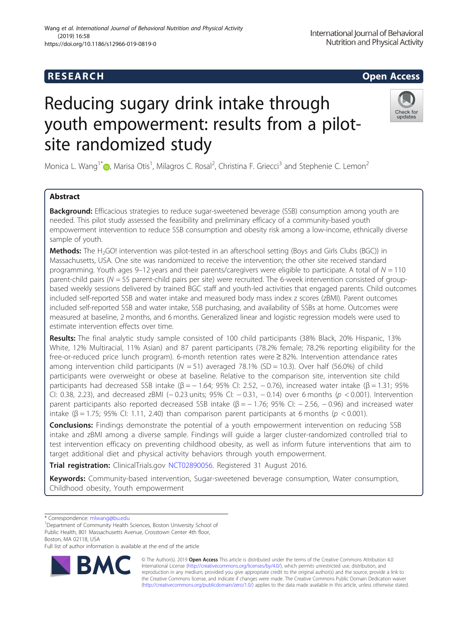

# Reducing sugary drink intake through youth empowerment: results from a pilotsite randomized study

Monica L. Wang<sup>1[\\*](http://orcid.org/0000-0002-7019-5072)</sup> $\textsf{D}$ , Marisa Otis<sup>1</sup>, Milagros C. Rosal<sup>2</sup>, Christina F. Griecci<sup>3</sup> and Stephenie C. Lemon<sup>2</sup>

# Abstract

**Background:** Efficacious strategies to reduce sugar-sweetened beverage (SSB) consumption among youth are needed. This pilot study assessed the feasibility and preliminary efficacy of a community-based youth empowerment intervention to reduce SSB consumption and obesity risk among a low-income, ethnically diverse sample of youth.

Methods: The H<sub>2</sub>GO! intervention was pilot-tested in an afterschool setting (Boys and Girls Clubs (BGC)) in Massachusetts, USA. One site was randomized to receive the intervention; the other site received standard programming. Youth ages 9–12 years and their parents/caregivers were eligible to participate. A total of  $N = 110$ parent-child pairs (N = 55 parent-child pairs per site) were recruited. The 6-week intervention consisted of groupbased weekly sessions delivered by trained BGC staff and youth-led activities that engaged parents. Child outcomes included self-reported SSB and water intake and measured body mass index z scores (zBMI). Parent outcomes included self-reported SSB and water intake, SSB purchasing, and availability of SSBs at home. Outcomes were measured at baseline, 2 months, and 6 months. Generalized linear and logistic regression models were used to estimate intervention effects over time.

Results: The final analytic study sample consisted of 100 child participants (38% Black, 20% Hispanic, 13% White, 12% Multiracial, 11% Asian) and 87 parent participants (78.2% female; 78.2% reporting eligibility for the free-or-reduced price lunch program). 6-month retention rates were ≥ 82%. Intervention attendance rates among intervention child participants ( $N = 51$ ) averaged 78.1% (SD = 10.3). Over half (56.0%) of child participants were overweight or obese at baseline. Relative to the comparison site, intervention site child participants had decreased SSB intake (β = -1.64; 95% CI: 2.52, -0.76), increased water intake (β = 1.31; 95% CI: 0.38, 2.23), and decreased zBMI (− 0.23 units; 95% CI: − 0.31, − 0.14) over 6 months (p < 0.001). Intervention parent participants also reported decreased SSB intake ( $β = -1.76$ ; 95% CI:  $-2.56$ ,  $-0.96$ ) and increased water intake (β = 1.75; 95% CI: 1.11, 2.40) than comparison parent participants at 6 months ( $p < 0.001$ ).

**Conclusions:** Findings demonstrate the potential of a youth empowerment intervention on reducing SSB intake and zBMI among a diverse sample. Findings will guide a larger cluster-randomized controlled trial to test intervention efficacy on preventing childhood obesity, as well as inform future interventions that aim to target additional diet and physical activity behaviors through youth empowerment.

Trial registration: ClinicalTrials.gov [NCT02890056.](https://clinicaltrials.gov/ct2/show/NCT02890056) Registered 31 August 2016.

Keywords: Community-based intervention, Sugar-sweetened beverage consumption, Water consumption, Childhood obesity, Youth empowerment

Full list of author information is available at the end of the article



© The Author(s). 2019 **Open Access** This article is distributed under the terms of the Creative Commons Attribution 4.0 International License [\(http://creativecommons.org/licenses/by/4.0/](http://creativecommons.org/licenses/by/4.0/)), which permits unrestricted use, distribution, and reproduction in any medium, provided you give appropriate credit to the original author(s) and the source, provide a link to the Creative Commons license, and indicate if changes were made. The Creative Commons Public Domain Dedication waiver [\(http://creativecommons.org/publicdomain/zero/1.0/](http://creativecommons.org/publicdomain/zero/1.0/)) applies to the data made available in this article, unless otherwise stated.

<sup>\*</sup> Correspondence: [mlwang@bu.edu](mailto:mlwang@bu.edu) <sup>1</sup>

<sup>&</sup>lt;sup>1</sup>Department of Community Health Sciences, Boston University School of Public Health, 801 Massachusetts Avenue, Crosstown Center 4th floor, Boston, MA 02118, USA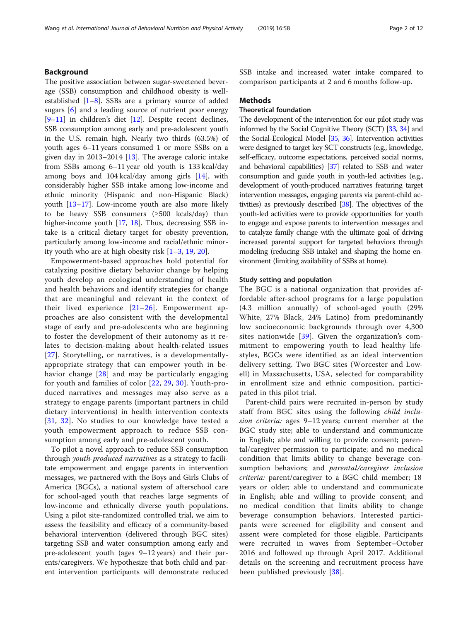# Background

The positive association between sugar-sweetened beverage (SSB) consumption and childhood obesity is wellestablished  $[1-8]$  $[1-8]$  $[1-8]$ . SSBs are a primary source of added sugars [\[6](#page-10-0)] and a leading source of nutrient poor energy [[9](#page-10-0)–[11\]](#page-10-0) in children's diet [[12\]](#page-10-0). Despite recent declines, SSB consumption among early and pre-adolescent youth in the U.S. remain high. Nearly two thirds (63.5%) of youth ages 6–11 years consumed 1 or more SSBs on a given day in  $2013-2014$  [[13\]](#page-10-0). The average caloric intake from SSBs among 6–11 year old youth is 133 kcal/day among boys and 104 kcal/day among girls [[14\]](#page-10-0), with considerably higher SSB intake among low-income and ethnic minority (Hispanic and non-Hispanic Black) youth [[13](#page-10-0)–[17](#page-10-0)]. Low-income youth are also more likely to be heavy SSB consumers (≥500 kcals/day) than higher-income youth [\[17](#page-10-0), [18\]](#page-10-0). Thus, decreasing SSB intake is a critical dietary target for obesity prevention, particularly among low-income and racial/ethnic minority youth who are at high obesity risk [\[1](#page-9-0)–[3](#page-9-0), [19](#page-10-0), [20](#page-10-0)].

Empowerment-based approaches hold potential for catalyzing positive dietary behavior change by helping youth develop an ecological understanding of health and health behaviors and identify strategies for change that are meaningful and relevant in the context of their lived experience [[21](#page-10-0)–[26](#page-10-0)]. Empowerment approaches are also consistent with the developmental stage of early and pre-adolescents who are beginning to foster the development of their autonomy as it relates to decision-making about health-related issues [[27](#page-10-0)]. Storytelling, or narratives, is a developmentallyappropriate strategy that can empower youth in behavior change [\[28\]](#page-10-0) and may be particularly engaging for youth and families of color [[22](#page-10-0), [29](#page-10-0), [30\]](#page-10-0). Youth-produced narratives and messages may also serve as a strategy to engage parents (important partners in child dietary interventions) in health intervention contexts [[31](#page-10-0), [32](#page-10-0)]. No studies to our knowledge have tested a youth empowerment approach to reduce SSB consumption among early and pre-adolescent youth.

To pilot a novel approach to reduce SSB consumption through youth-produced narratives as a strategy to facilitate empowerment and engage parents in intervention messages, we partnered with the Boys and Girls Clubs of America (BGCs), a national system of afterschool care for school-aged youth that reaches large segments of low-income and ethnically diverse youth populations. Using a pilot site-randomized controlled trial, we aim to assess the feasibility and efficacy of a community-based behavioral intervention (delivered through BGC sites) targeting SSB and water consumption among early and pre-adolescent youth (ages 9–12 years) and their parents/caregivers. We hypothesize that both child and parent intervention participants will demonstrate reduced

SSB intake and increased water intake compared to comparison participants at 2 and 6 months follow-up.

#### Methods

# Theoretical foundation

The development of the intervention for our pilot study was informed by the Social Cognitive Theory (SCT) [\[33](#page-10-0), [34](#page-10-0)] and the Social-Ecological Model [\[35](#page-10-0), [36](#page-10-0)]. Intervention activities were designed to target key SCT constructs (e.g., knowledge, self-efficacy, outcome expectations, perceived social norms, and behavioral capabilities) [[37\]](#page-10-0) related to SSB and water consumption and guide youth in youth-led activities (e.g., development of youth-produced narratives featuring target intervention messages, engaging parents via parent-child activities) as previously described [\[38](#page-10-0)]. The objectives of the youth-led activities were to provide opportunities for youth to engage and expose parents to intervention messages and to catalyze family change with the ultimate goal of driving increased parental support for targeted behaviors through modeling (reducing SSB intake) and shaping the home environment (limiting availability of SSBs at home).

# Study setting and population

The BGC is a national organization that provides affordable after-school programs for a large population (4.3 million annually) of school-aged youth (29% White, 27% Black, 24% Latino) from predominantly low socioeconomic backgrounds through over 4,300 sites nationwide [[39\]](#page-10-0). Given the organization's commitment to empowering youth to lead healthy lifestyles, BGCs were identified as an ideal intervention delivery setting. Two BGC sites (Worcester and Lowell) in Massachusetts, USA, selected for comparability in enrollment size and ethnic composition, participated in this pilot trial.

Parent-child pairs were recruited in-person by study staff from BGC sites using the following child inclusion criteria: ages 9–12 years; current member at the BGC study site; able to understand and communicate in English; able and willing to provide consent; parental/caregiver permission to participate; and no medical condition that limits ability to change beverage consumption behaviors; and *parental/caregiver inclusion* criteria: parent/caregiver to a BGC child member; 18 years or older; able to understand and communicate in English; able and willing to provide consent; and no medical condition that limits ability to change beverage consumption behaviors. Interested participants were screened for eligibility and consent and assent were completed for those eligible. Participants were recruited in waves from September–October 2016 and followed up through April 2017. Additional details on the screening and recruitment process have been published previously [\[38](#page-10-0)].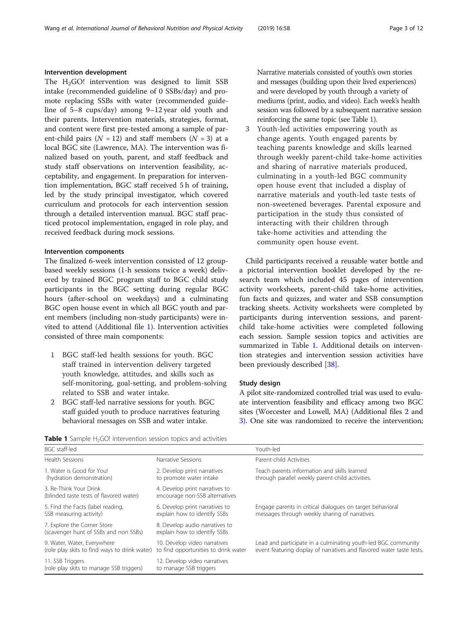# Intervention development

The  $H_2$ GO! intervention was designed to limit SSB intake (recommended guideline of 0 SSBs/day) and promote replacing SSBs with water (recommended guideline of 5–8 cups/day) among 9–12 year old youth and their parents. Intervention materials, strategies, format, and content were first pre-tested among a sample of parent-child pairs ( $N = 12$ ) and staff members ( $N = 3$ ) at a local BGC site (Lawrence, MA). The intervention was finalized based on youth, parent, and staff feedback and study staff observations on intervention feasibility, acceptability, and engagement. In preparation for intervention implementation, BGC staff received 5 h of training, led by the study principal investigator, which covered curriculum and protocols for each intervention session through a detailed intervention manual. BGC staff practiced protocol implementation, engaged in role play, and received feedback during mock sessions.

# Intervention components

The finalized 6-week intervention consisted of 12 groupbased weekly sessions (1-h sessions twice a week) delivered by trained BGC program staff to BGC child study participants in the BGC setting during regular BGC hours (after-school on weekdays) and a culminating BGC open house event in which all BGC youth and parent members (including non-study participants) were invited to attend (Additional file [1\)](#page-9-0). Intervention activities consisted of three main components:

- 1 BGC staff-led health sessions for youth. BGC staff trained in intervention delivery targeted youth knowledge, attitudes, and skills such as self-monitoring, goal-setting, and problem-solving related to SSB and water intake.
- 2 BGC staff-led narrative sessions for youth. BGC staff guided youth to produce narratives featuring behavioral messages on SSB and water intake.

Narrative materials consisted of youth's own stories and messages (building upon their lived experiences) and were developed by youth through a variety of mediums (print, audio, and video). Each week's health session was followed by a subsequent narrative session reinforcing the same topic (see Table 1).

3 Youth-led activities empowering youth as change agents. Youth engaged parents by teaching parents knowledge and skills learned through weekly parent-child take-home activities and sharing of narrative materials produced, culminating in a youth-led BGC community open house event that included a display of narrative materials and youth-led taste tests of non-sweetened beverages. Parental exposure and participation in the study thus consisted of interacting with their children through take-home activities and attending the community open house event.

Child participants received a reusable water bottle and a pictorial intervention booklet developed by the research team which included 45 pages of intervention activity worksheets, parent-child take-home activities, fun facts and quizzes, and water and SSB consumption tracking sheets. Activity worksheets were completed by participants during intervention sessions, and parentchild take-home activities were completed following each session. Sample session topics and activities are summarized in Table 1. Additional details on intervention strategies and intervention session activities have been previously described [\[38](#page-10-0)].

#### Study design

A pilot site-randomized controlled trial was used to evaluate intervention feasibility and efficacy among two BGC sites (Worcester and Lowell, MA) (Additional files [2](#page-9-0) and [3\)](#page-9-0). One site was randomized to receive the intervention;

Table 1 Sample H<sub>2</sub>GO! intervention session topics and activities

| <b>BGC</b> staff-led                                                         |                                                                      | Youth-led                                                                                                                              |  |
|------------------------------------------------------------------------------|----------------------------------------------------------------------|----------------------------------------------------------------------------------------------------------------------------------------|--|
| Health Sessions                                                              | Narrative Sessions                                                   | Parent-child Activities                                                                                                                |  |
| 1. Water is Good for You!<br>(hydration demonstration)                       | 2. Develop print narratives<br>to promote water intake               | Teach parents information and skills learned<br>through parallel weekly parent-child activities.                                       |  |
| 3. Re-Think Your Drink<br>(blinded taste tests of flavored water)            | 4. Develop print narratives to<br>encourage non-SSB alternatives     |                                                                                                                                        |  |
| 5. Find the Facts (label reading,<br>SSB measuring activity)                 | 6. Develop print narratives to<br>explain how to identify SSBs       | Engage parents in critical dialogues on target behavioral<br>messages through weekly sharing of narratives.                            |  |
| 7. Explore the Corner Store<br>(scavenger hunt of SSBs and non SSBs)         | 8. Develop audio narratives to<br>explain how to identify SSBs       |                                                                                                                                        |  |
| 9. Water, Water, Everywhere<br>(role play skits to find ways to drink water) | 10. Develop video narratives<br>to find opportunities to drink water | Lead and participate in a culminating youth-led BGC community<br>event featuring display of narratives and flavored water taste tests. |  |
| 11. SSB Triggers<br>(role play skits to manage SSB triggers)                 | 12. Develop video narratives<br>to manage SSB triggers               |                                                                                                                                        |  |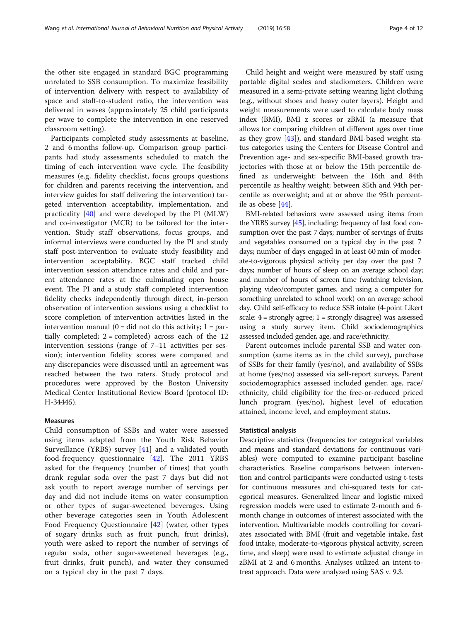the other site engaged in standard BGC programming unrelated to SSB consumption. To maximize feasibility of intervention delivery with respect to availability of space and staff-to-student ratio, the intervention was delivered in waves (approximately 25 child participants per wave to complete the intervention in one reserved classroom setting).

Participants completed study assessments at baseline, 2 and 6 months follow-up. Comparison group participants had study assessments scheduled to match the timing of each intervention wave cycle. The feasibility measures (e.g, fidelity checklist, focus groups questions for children and parents receiving the intervention, and interview guides for staff delivering the intervention) targeted intervention acceptability, implementation, and practicality [\[40\]](#page-10-0) and were developed by the PI (MLW) and co-investigator (MCR) to be tailored for the intervention. Study staff observations, focus groups, and informal interviews were conducted by the PI and study staff post-intervention to evaluate study feasibility and intervention acceptability. BGC staff tracked child intervention session attendance rates and child and parent attendance rates at the culminating open house event. The PI and a study staff completed intervention fidelity checks independently through direct, in-person observation of intervention sessions using a checklist to score completion of intervention activities listed in the intervention manual  $(0 = did not do this activity; 1 = par$ tially completed;  $2 =$  completed) across each of the 12 intervention sessions (range of 7–11 activities per session); intervention fidelity scores were compared and any discrepancies were discussed until an agreement was reached between the two raters. Study protocol and procedures were approved by the Boston University Medical Center Institutional Review Board (protocol ID: H-34445).

# Measures

Child consumption of SSBs and water were assessed using items adapted from the Youth Risk Behavior Surveillance (YRBS) survey [[41](#page-10-0)] and a validated youth food-frequency questionnaire [[42\]](#page-10-0). The 2011 YRBS asked for the frequency (number of times) that youth drank regular soda over the past 7 days but did not ask youth to report average number of servings per day and did not include items on water consumption or other types of sugar-sweetened beverages. Using other beverage categories seen in Youth Adolescent Food Frequency Questionnaire [[42\]](#page-10-0) (water, other types of sugary drinks such as fruit punch, fruit drinks), youth were asked to report the number of servings of regular soda, other sugar-sweetened beverages (e.g., fruit drinks, fruit punch), and water they consumed on a typical day in the past 7 days.

Child height and weight were measured by staff using portable digital scales and stadiometers. Children were measured in a semi-private setting wearing light clothing (e.g., without shoes and heavy outer layers). Height and weight measurements were used to calculate body mass index (BMI), BMI z scores or zBMI (a measure that allows for comparing children of different ages over time as they grow [[43\]](#page-10-0)), and standard BMI-based weight status categories using the Centers for Disease Control and Prevention age- and sex-specific BMI-based growth trajectories with those at or below the 15th percentile defined as underweight; between the 16th and 84th percentile as healthy weight; between 85th and 94th percentile as overweight; and at or above the 95th percentile as obese [\[44](#page-10-0)].

BMI-related behaviors were assessed using items from the YRBS survey [\[45](#page-10-0)], including: frequency of fast food consumption over the past 7 days; number of servings of fruits and vegetables consumed on a typical day in the past 7 days; number of days engaged in at least 60 min of moderate-to-vigorous physical activity per day over the past 7 days; number of hours of sleep on an average school day; and number of hours of screen time (watching television, playing video/computer games, and using a computer for something unrelated to school work) on an average school day. Child self-efficacy to reduce SSB intake (4-point Likert scale:  $4 =$  strongly agree;  $1 =$  strongly disagree) was assessed using a study survey item. Child sociodemographics assessed included gender, age, and race/ethnicity.

Parent outcomes include parental SSB and water consumption (same items as in the child survey), purchase of SSBs for their family (yes/no), and availability of SSBs at home (yes/no) assessed via self-report surveys. Parent sociodemographics assessed included gender, age, race/ ethnicity, child eligibility for the free-or-reduced priced lunch program (yes/no), highest level of education attained, income level, and employment status.

#### Statistical analysis

Descriptive statistics (frequencies for categorical variables and means and standard deviations for continuous variables) were computed to examine participant baseline characteristics. Baseline comparisons between intervention and control participants were conducted using t-tests for continuous measures and chi-squared tests for categorical measures. Generalized linear and logistic mixed regression models were used to estimate 2-month and 6 month change in outcomes of interest associated with the intervention. Multivariable models controlling for covariates associated with BMI (fruit and vegetable intake, fast food intake, moderate-to-vigorous physical activity, screen time, and sleep) were used to estimate adjusted change in zBMI at 2 and 6 months. Analyses utilized an intent-totreat approach. Data were analyzed using SAS v. 9.3.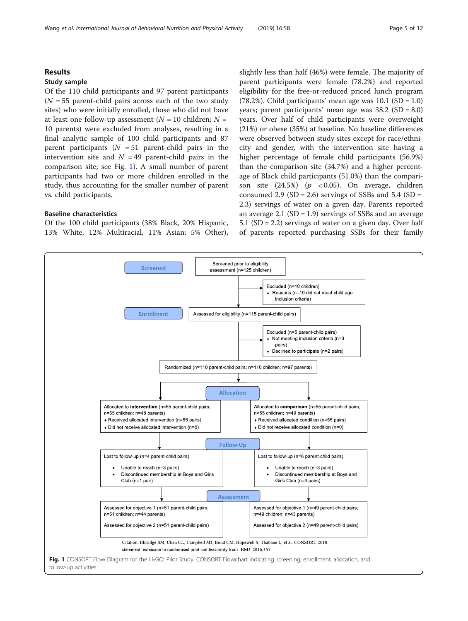# Results

# Study sample

Of the 110 child participants and 97 parent participants  $(N = 55$  parent-child pairs across each of the two study sites) who were initially enrolled, those who did not have at least one follow-up assessment ( $N = 10$  children;  $N =$ 10 parents) were excluded from analyses, resulting in a final analytic sample of 100 child participants and 87 parent participants  $(N = 51$  parent-child pairs in the intervention site and  $N = 49$  parent-child pairs in the comparison site; see Fig. 1). A small number of parent participants had two or more children enrolled in the study, thus accounting for the smaller number of parent vs. child participants.

# Baseline characteristics

Of the 100 child participants (38% Black, 20% Hispanic, 13% White, 12% Multiracial, 11% Asian; 5% Other), slightly less than half (46%) were female. The majority of parent participants were female (78.2%) and reported eligibility for the free-or-reduced priced lunch program (78.2%). Child participants' mean age was  $10.1$  (SD = 1.0) years; parent participants' mean age was  $38.2$  (SD =  $8.0$ ) years. Over half of child participants were overweight (21%) or obese (35%) at baseline. No baseline differences were observed between study sites except for race/ethnicity and gender, with the intervention site having a higher percentage of female child participants (56.9%) than the comparison site (34.7%) and a higher percentage of Black child participants (51.0%) than the comparison site  $(24.5\%)$  ( $p \lt 0.05$ ). On average, children consumed 2.9  $(SD = 2.6)$  servings of SSBs and 5.4  $(SD =$ 2.3) servings of water on a given day. Parents reported an average  $2.1$  (SD = 1.9) servings of SSBs and an average 5.1 (SD = 2.2) servings of water on a given day. Over half of parents reported purchasing SSBs for their family

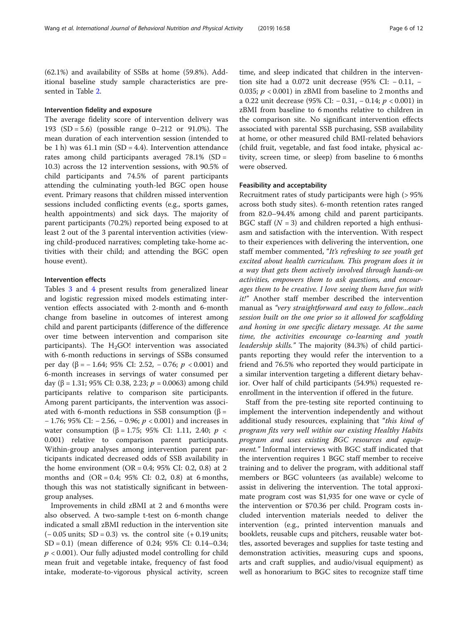(62.1%) and availability of SSBs at home (59.8%). Additional baseline study sample characteristics are presented in Table [2.](#page-6-0)

# Intervention fidelity and exposure

The average fidelity score of intervention delivery was 193 (SD = 5.6) (possible range 0–212 or 91.0%). The mean duration of each intervention session (intended to be 1 h) was 61.1 min  $(SD = 4.4)$ . Intervention attendance rates among child participants averaged 78.1% (SD = 10.3) across the 12 intervention sessions, with 90.5% of child participants and 74.5% of parent participants attending the culminating youth-led BGC open house event. Primary reasons that children missed intervention sessions included conflicting events (e.g., sports games, health appointments) and sick days. The majority of parent participants (70.2%) reported being exposed to at least 2 out of the 3 parental intervention activities (viewing child-produced narratives; completing take-home activities with their child; and attending the BGC open house event).

# Intervention effects

Tables [3](#page-7-0) and [4](#page-8-0) present results from generalized linear and logistic regression mixed models estimating intervention effects associated with 2-month and 6-month change from baseline in outcomes of interest among child and parent participants (difference of the difference over time between intervention and comparison site participants). The  $H_2$ GO! intervention was associated with 6-month reductions in servings of SSBs consumed per day (β =  $-1.64$ ; 95% CI: 2.52,  $-0.76$ ;  $p < 0.001$ ) and 6-month increases in servings of water consumed per day (β = 1.31; 95% CI: 0.38, 2.23;  $p = 0.0063$ ) among child participants relative to comparison site participants. Among parent participants, the intervention was associated with 6-month reductions in SSB consumption ( $β =$ − 1.76; 95% CI: − 2.56, − 0.96; p < 0.001) and increases in water consumption (β = 1.75; 95% CI: 1.11, 2.40;  $p \lt$ 0.001) relative to comparison parent participants. Within-group analyses among intervention parent participants indicated decreased odds of SSB availability in the home environment (OR =  $0.4$ ; 95% CI: 0.2, 0.8) at 2 months and  $(OR = 0.4; 95\% \text{ CI: } 0.2, 0.8)$  at 6 months, though this was not statistically significant in betweengroup analyses.

Improvements in child zBMI at 2 and 6 months were also observed. A two-sample t-test on 6-month change indicated a small zBMI reduction in the intervention site (− 0.05 units; SD = 0.3) vs. the control site (+ 0.19 units; SD = 0.1) (mean difference of 0.24; 95% CI: 0.14–0.34;  $p < 0.001$ ). Our fully adjusted model controlling for child mean fruit and vegetable intake, frequency of fast food intake, moderate-to-vigorous physical activity, screen

time, and sleep indicated that children in the intervention site had a 0.072 unit decrease (95% CI: − 0.11, − 0.035;  $p < 0.001$ ) in zBMI from baseline to 2 months and a 0.22 unit decrease (95% CI: − 0.31, − 0.14; p < 0.001) in zBMI from baseline to 6 months relative to children in the comparison site. No significant intervention effects associated with parental SSB purchasing, SSB availability at home, or other measured child BMI-related behaviors (child fruit, vegetable, and fast food intake, physical activity, screen time, or sleep) from baseline to 6 months were observed.

#### Feasibility and acceptability

Recruitment rates of study participants were high (> 95% across both study sites). 6-month retention rates ranged from 82.0–94.4% among child and parent participants. BGC staff  $(N = 3)$  and children reported a high enthusiasm and satisfaction with the intervention. With respect to their experiences with delivering the intervention, one staff member commented, "It's refreshing to see youth get excited about health curriculum. This program does it in a way that gets them actively involved through hands-on activities, empowers them to ask questions, and encourages them to be creative. I love seeing them have fun with it!" Another staff member described the intervention manual as "very straightforward and easy to follow...each session built on the one prior so it allowed for scaffolding and honing in one specific dietary message. At the same time, the activities encourage co-learning and youth leadership skills." The majority (84.3%) of child participants reporting they would refer the intervention to a friend and 76.5% who reported they would participate in a similar intervention targeting a different dietary behavior. Over half of child participants (54.9%) requested reenrollment in the intervention if offered in the future.

Staff from the pre-testing site reported continuing to implement the intervention independently and without additional study resources, explaining that "this kind of program fits very well within our existing Healthy Habits program and uses existing BGC resources and equipment." Informal interviews with BGC staff indicated that the intervention requires 1 BGC staff member to receive training and to deliver the program, with additional staff members or BGC volunteers (as available) welcome to assist in delivering the intervention. The total approximate program cost was \$1,935 for one wave or cycle of the intervention or \$70.36 per child. Program costs included intervention materials needed to deliver the intervention (e.g., printed intervention manuals and booklets, reusable cups and pitchers, reusable water bottles, assorted beverages and supplies for taste testing and demonstration activities, measuring cups and spoons, arts and craft supplies, and audio/visual equipment) as well as honorarium to BGC sites to recognize staff time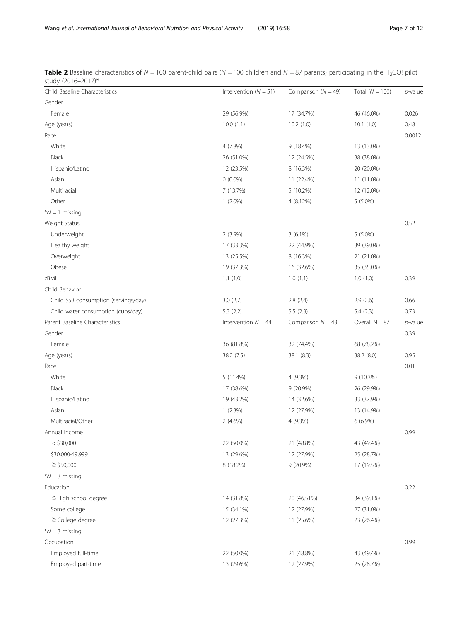<span id="page-6-0"></span>Wang et al. International Journal of Behavioral Nutrition and Physical Activity (2019) 16:58 Page 7 of 12

**Table 2** Baseline characteristics of  $N = 100$  parent-child pairs ( $N = 100$  children and  $N = 87$  parents) participating in the H<sub>2</sub>GO! pilot study (2016–2017)\*

| Child Baseline Characteristics       | Intervention ( $N = 51$ ) | Comparison ( $N = 49$ ) | Total $(N = 100)$ | $p$ -value      |
|--------------------------------------|---------------------------|-------------------------|-------------------|-----------------|
| Gender                               |                           |                         |                   |                 |
| Female                               | 29 (56.9%)                | 17 (34.7%)              | 46 (46.0%)        | 0.026           |
| Age (years)                          | 10.0(1.1)                 | 10.2(1.0)               | 10.1(1.0)         | 0.48            |
| Race                                 |                           |                         |                   | 0.0012          |
| White                                | 4 (7.8%)                  | 9 (18.4%)               | 13 (13.0%)        |                 |
| Black                                | 26 (51.0%)                | 12 (24.5%)              | 38 (38.0%)        |                 |
| Hispanic/Latino                      | 12 (23.5%)                | 8 (16.3%)               | 20 (20.0%)        |                 |
| Asian                                | $0(0.0\%)$                | 11 (22.4%)              | 11 (11.0%)        |                 |
| Multiracial                          | 7 (13.7%)                 | 5 (10.2%)               | 12 (12.0%)        |                 |
| Other                                | $1(2.0\%)$                | 4 (8.12%)               | 5 (5.0%)          |                 |
| $N = 1$ missing                      |                           |                         |                   |                 |
| Weight Status                        |                           |                         |                   | 0.52            |
| Underweight                          | $2(3.9\%)$                | $3(6.1\%)$              | 5 (5.0%)          |                 |
| Healthy weight                       | 17 (33.3%)                | 22 (44.9%)              | 39 (39.0%)        |                 |
| Overweight                           | 13 (25.5%)                | 8 (16.3%)               | 21 (21.0%)        |                 |
| Obese                                | 19 (37.3%)                | 16 (32.6%)              | 35 (35.0%)        |                 |
| zBMI                                 | 1.1(1.0)                  | 1.0(1.1)                | 1.0(1.0)          | 0.39            |
| Child Behavior                       |                           |                         |                   |                 |
| Child SSB consumption (servings/day) | 3.0(2.7)                  | 2.8(2.4)                | 2.9(2.6)          | 0.66            |
| Child water consumption (cups/day)   | 5.3(2.2)                  | 5.5(2.3)                | 5.4(2.3)          | 0.73            |
| Parent Baseline Characteristics      | Intervention $N = 44$     | Comparison $N = 43$     | Overall $N = 87$  | <i>p</i> -value |
| Gender                               |                           |                         |                   | 0.39            |
| Female                               | 36 (81.8%)                | 32 (74.4%)              | 68 (78.2%)        |                 |
| Age (years)                          | 38.2 (7.5)                | 38.1 (8.3)              | 38.2 (8.0)        | 0.95            |
| Race                                 |                           |                         |                   | 0.01            |
| White                                | 5 (11.4%)                 | 4 (9.3%)                | 9 (10.3%)         |                 |
| Black                                | 17 (38.6%)                | 9 (20.9%)               | 26 (29.9%)        |                 |
| Hispanic/Latino                      | 19 (43.2%)                | 14 (32.6%)              | 33 (37.9%)        |                 |
| Asian                                | $1(2.3\%)$                | 12 (27.9%)              | 13 (14.9%)        |                 |
| Multiracial/Other                    | $2(4.6\%)$                | 4 (9.3%)                | $6(6.9\%)$        |                 |
| Annual Income                        |                           |                         |                   | 0.99            |
| $<$ \$30,000                         | 22 (50.0%)                | 21 (48.8%)              | 43 (49.4%)        |                 |
| \$30,000-49,999                      | 13 (29.6%)                | 12 (27.9%)              | 25 (28.7%)        |                 |
| $\ge$ \$50,000                       | 8 (18.2%)                 | 9 (20.9%)               | 17 (19.5%)        |                 |
| $N = 3$ missing                      |                           |                         |                   |                 |
| Education                            |                           |                         |                   | 0.22            |
| ≤ High school degree                 | 14 (31.8%)                | 20 (46.51%)             | 34 (39.1%)        |                 |
| Some college                         | 15 (34.1%)                | 12 (27.9%)              | 27 (31.0%)        |                 |
| $\geq$ College degree                | 12 (27.3%)                | 11 (25.6%)              | 23 (26.4%)        |                 |
| $N = 3$ missing                      |                           |                         |                   |                 |
| Occupation                           |                           |                         |                   | 0.99            |
| Employed full-time                   | 22 (50.0%)                | 21 (48.8%)              | 43 (49.4%)        |                 |
| Employed part-time                   | 13 (29.6%)                | 12 (27.9%)              | 25 (28.7%)        |                 |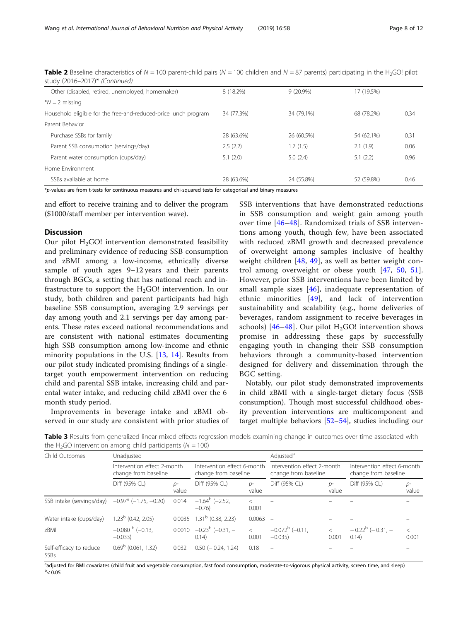| Other (disabled, retired, unemployed, homemaker)                | 8 (18.2%)  | $9(20.9\%)$ | 17 (19.5%) |      |
|-----------------------------------------------------------------|------------|-------------|------------|------|
| $N = 2$ missing                                                 |            |             |            |      |
| Household eligible for the free-and-reduced-price lunch program | 34 (77.3%) | 34 (79.1%)  | 68 (78.2%) | 0.34 |
| Parent Behavior                                                 |            |             |            |      |
| Purchase SSBs for family                                        | 28 (63.6%) | 26 (60.5%)  | 54 (62.1%) | 0.31 |
| Parent SSB consumption (servings/day)                           | 2.5(2.2)   | 1.7(1.5)    | 2.1(1.9)   | 0.06 |
| Parent water consumption (cups/day)                             | 5.1(2.0)   | 5.0(2.4)    | 5.1(2.2)   | 0.96 |
| Home Environment                                                |            |             |            |      |
| SSBs available at home                                          | 28 (63.6%) | 24 (55.8%)  | 52 (59.8%) | 0.46 |

<span id="page-7-0"></span>**Table 2** Baseline characteristics of  $N = 100$  parent-child pairs ( $N = 100$  children and  $N = 87$  parents) participating in the H<sub>2</sub>GO! pilot study (2016–2017)\* (Continued)

\*p-values are from t-tests for continuous measures and chi-squared tests for categorical and binary measures

and effort to receive training and to deliver the program (\$1000/staff member per intervention wave).

# **Discussion**

Our pilot  $H_2$ GO! intervention demonstrated feasibility and preliminary evidence of reducing SSB consumption and zBMI among a low-income, ethnically diverse sample of youth ages 9–12 years and their parents through BGCs, a setting that has national reach and infrastructure to support the  $H_2$ GO! intervention. In our study, both children and parent participants had high baseline SSB consumption, averaging 2.9 servings per day among youth and 2.1 servings per day among parents. These rates exceed national recommendations and are consistent with national estimates documenting high SSB consumption among low-income and ethnic minority populations in the U.S. [[13,](#page-10-0) [14\]](#page-10-0). Results from our pilot study indicated promising findings of a singletarget youth empowerment intervention on reducing child and parental SSB intake, increasing child and parental water intake, and reducing child zBMI over the 6 month study period.

Improvements in beverage intake and zBMI observed in our study are consistent with prior studies of

SSB interventions that have demonstrated reductions in SSB consumption and weight gain among youth over time [[46](#page-10-0)–[48\]](#page-10-0). Randomized trials of SSB interventions among youth, though few, have been associated with reduced zBMI growth and decreased prevalence of overweight among samples inclusive of healthy weight children [\[48,](#page-10-0) [49\]](#page-10-0), as well as better weight control among overweight or obese youth [\[47,](#page-10-0) [50](#page-10-0), [51](#page-11-0)]. However, prior SSB interventions have been limited by small sample sizes  $[46]$  $[46]$ , inadequate representation of ethnic minorities [[49](#page-10-0)], and lack of intervention sustainability and scalability (e.g., home deliveries of beverages, random assignment to receive beverages in schools)  $[46-48]$  $[46-48]$  $[46-48]$  $[46-48]$ . Our pilot  $H_2$ GO! intervention shows promise in addressing these gaps by successfully engaging youth in changing their SSB consumption behaviors through a community-based intervention designed for delivery and dissemination through the BGC setting.

Notably, our pilot study demonstrated improvements in child zBMI with a single-target dietary focus (SSB consumption). Though most successful childhood obesity prevention interventions are multicomponent and target multiple behaviors [[52](#page-11-0)–[54](#page-11-0)], studies including our

Table 3 Results from generalized linear mixed effects regression models examining change in outcomes over time associated with the H<sub>2</sub>GO intervention among child participants ( $N = 100$ )

| Child Outcomes                  | Unadiusted                                          |                |                                                     |                  | Adjusted <sup>a</sup>                               |               |                                                     |               |
|---------------------------------|-----------------------------------------------------|----------------|-----------------------------------------------------|------------------|-----------------------------------------------------|---------------|-----------------------------------------------------|---------------|
|                                 | Intervention effect 2-month<br>change from baseline |                | Intervention effect 6-month<br>change from baseline |                  | Intervention effect 2-month<br>change from baseline |               | Intervention effect 6-month<br>change from baseline |               |
|                                 | Diff (95% CL)                                       | $D^-$<br>value | Diff (95% CL)                                       | $D^-$<br>value   | Diff (95% CL)                                       | $p-$<br>value | Diff (95% CL)                                       | $p-$<br>value |
| SSB intake (servings/day)       | $-0.97*$ (-1.75, -0.20)                             | 0.014          | $-1.64^{\circ}$ (-2.52,<br>$-0.76$                  | 0.001            |                                                     |               |                                                     |               |
| Water intake (cups/day)         | $1.23b$ (0.42, 2.05)                                | 0.0035         | $1.31b$ (0.38, 2.23)                                | 0.0063           |                                                     |               |                                                     |               |
| zBMI                            | $-0.080^{b}$ (-0.13,<br>$-0.033$                    | 0.0010         | $-0.23^b$ (-0.31, -<br>0.14)                        | $\,<\,$<br>0.001 | $-0.072^b$ (-0.11,<br>$-0.035$                      | ✓<br>0.001    | $-0.22^{\rm b}$ (-0.31, -<br>0.14)                  | 0.001         |
| Self-efficacy to reduce<br>SSBs | $0.69^b$ (0.061, 1.32)                              | 0.032          | $0.50$ ( $-0.24$ , 1.24)                            | 0.18             |                                                     |               |                                                     |               |

adjusted for BMI covariates (child fruit and vegetable consumption, fast food consumption, moderate-to-vigorous physical activity, screen time, and sleep)<br>b<sub>< 0.05</sub>  $^{\rm b}\rm < 0.05$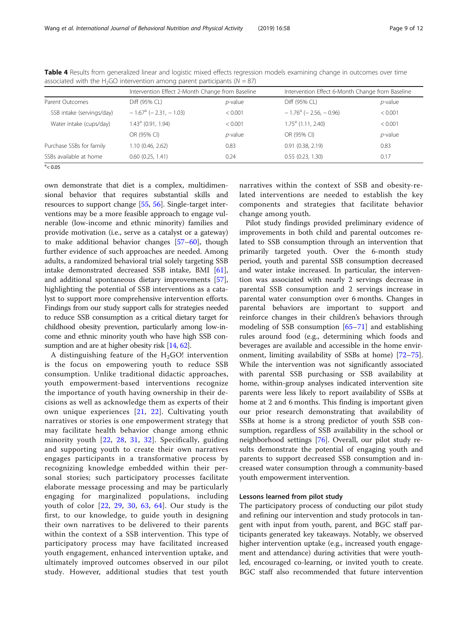|                           | Intervention Effect 2-Month Change from Baseline |            | Intervention Effect 6-Month Change from Baseline |            |  |
|---------------------------|--------------------------------------------------|------------|--------------------------------------------------|------------|--|
| Parent Outcomes           | Diff (95% CL)                                    | $p$ -value | Diff (95% CL)                                    | $p$ -value |  |
| SSB intake (servings/day) | $-1.67$ <sup>a</sup> (-2.31, -1.03)              | < 0.001    | $-1.76$ <sup>a</sup> (-2.56, -0.96)              | < 0.001    |  |
| Water intake (cups/day)   | $1.43a$ (0.91, 1.94)                             | < 0.001    | $1.75a$ (1.11, 2.40)                             | < 0.001    |  |
|                           | OR (95% CI)                                      | $p$ -value | OR (95% CI)                                      | $p$ -value |  |
| Purchase SSBs for family  | 1.10(0.46, 2.62)                                 | 0.83       | 0.91(0.38, 2.19)                                 | 0.83       |  |
| SSBs available at home    | 0.60(0.25, 1.41)                                 | 0.24       | 0.55(0.23, 1.30)                                 | 0.17       |  |

<span id="page-8-0"></span>Table 4 Results from generalized linear and logistic mixed effects regression models examining change in outcomes over time associated with the H<sub>2</sub>GO intervention among parent participants ( $N = 87$ )

 $a$  < 0.05

own demonstrate that diet is a complex, multidimensional behavior that requires substantial skills and resources to support change [[55](#page-11-0), [56](#page-11-0)]. Single-target interventions may be a more feasible approach to engage vulnerable (low-income and ethnic minority) families and provide motivation (i.e., serve as a catalyst or a gateway) to make additional behavior changes [\[57](#page-11-0)–[60\]](#page-11-0), though further evidence of such approaches are needed. Among adults, a randomized behavioral trial solely targeting SSB intake demonstrated decreased SSB intake, BMI [\[61](#page-11-0)], and additional spontaneous dietary improvements [\[57](#page-11-0)], highlighting the potential of SSB interventions as a catalyst to support more comprehensive intervention efforts. Findings from our study support calls for strategies needed to reduce SSB consumption as a critical dietary target for childhood obesity prevention, particularly among low-income and ethnic minority youth who have high SSB con-sumption and are at higher obesity risk [\[14,](#page-10-0) [62\]](#page-11-0).

A distinguishing feature of the  $H_2$ GO! intervention is the focus on empowering youth to reduce SSB consumption. Unlike traditional didactic approaches, youth empowerment-based interventions recognize the importance of youth having ownership in their decisions as well as acknowledge them as experts of their own unique experiences [[21](#page-10-0), [22](#page-10-0)]. Cultivating youth narratives or stories is one empowerment strategy that may facilitate health behavior change among ethnic minority youth [[22,](#page-10-0) [28](#page-10-0), [31,](#page-10-0) [32](#page-10-0)]. Specifically, guiding and supporting youth to create their own narratives engages participants in a transformative process by recognizing knowledge embedded within their personal stories; such participatory processes facilitate elaborate message processing and may be particularly engaging for marginalized populations, including youth of color [[22](#page-10-0), [29](#page-10-0), [30](#page-10-0), [63,](#page-11-0) [64\]](#page-11-0). Our study is the first, to our knowledge, to guide youth in designing their own narratives to be delivered to their parents within the context of a SSB intervention. This type of participatory process may have facilitated increased youth engagement, enhanced intervention uptake, and ultimately improved outcomes observed in our pilot study. However, additional studies that test youth

narratives within the context of SSB and obesity-related interventions are needed to establish the key components and strategies that facilitate behavior change among youth.

Pilot study findings provided preliminary evidence of improvements in both child and parental outcomes related to SSB consumption through an intervention that primarily targeted youth. Over the 6-month study period, youth and parental SSB consumption decreased and water intake increased. In particular, the intervention was associated with nearly 2 servings decrease in parental SSB consumption and 2 servings increase in parental water consumption over 6 months. Changes in parental behaviors are important to support and reinforce changes in their children's behaviors through modeling of SSB consumption  $[65-71]$  $[65-71]$  $[65-71]$  and establishing rules around food (e.g., determining which foods and beverages are available and accessible in the home environment, limiting availability of SSBs at home) [[72](#page-11-0)–[75](#page-11-0)]. While the intervention was not significantly associated with parental SSB purchasing or SSB availability at home, within-group analyses indicated intervention site parents were less likely to report availability of SSBs at home at 2 and 6 months. This finding is important given our prior research demonstrating that availability of SSBs at home is a strong predictor of youth SSB consumption, regardless of SSB availability in the school or neighborhood settings [\[76](#page-11-0)]. Overall, our pilot study results demonstrate the potential of engaging youth and parents to support decreased SSB consumption and increased water consumption through a community-based youth empowerment intervention.

# Lessons learned from pilot study

The participatory process of conducting our pilot study and refining our intervention and study protocols in tangent with input from youth, parent, and BGC staff participants generated key takeaways. Notably, we observed higher intervention uptake (e.g., increased youth engagement and attendance) during activities that were youthled, encouraged co-learning, or invited youth to create. BGC staff also recommended that future intervention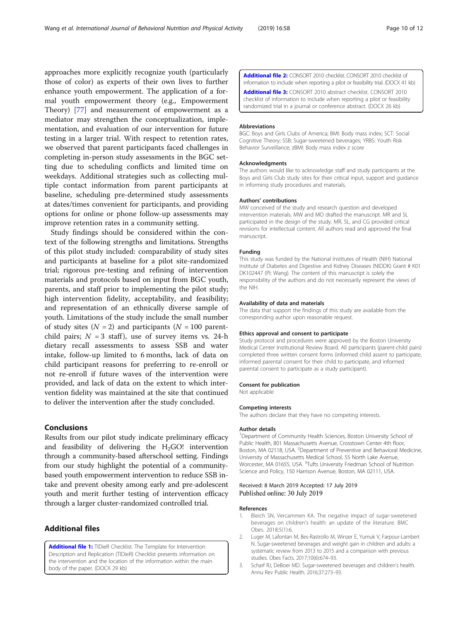<span id="page-9-0"></span>approaches more explicitly recognize youth (particularly those of color) as experts of their own lives to further enhance youth empowerment. The application of a formal youth empowerment theory (e.g., Empowerment Theory) [\[77](#page-11-0)] and measurement of empowerment as a mediator may strengthen the conceptualization, implementation, and evaluation of our intervention for future testing in a larger trial. With respect to retention rates, we observed that parent participants faced challenges in completing in-person study assessments in the BGC setting due to scheduling conflicts and limited time on weekdays. Additional strategies such as collecting multiple contact information from parent participants at baseline, scheduling pre-determined study assessments at dates/times convenient for participants, and providing options for online or phone follow-up assessments may improve retention rates in a community setting.

Study findings should be considered within the context of the following strengths and limitations. Strengths of this pilot study included: comparability of study sites and participants at baseline for a pilot site-randomized trial; rigorous pre-testing and refining of intervention materials and protocols based on input from BGC youth, parents, and staff prior to implementing the pilot study; high intervention fidelity, acceptability, and feasibility; and representation of an ethnically diverse sample of youth. Limitations of the study include the small number of study sites  $(N = 2)$  and participants  $(N = 100)$  parentchild pairs;  $N = 3$  staff), use of survey items vs. 24-h dietary recall assessments to assess SSB and water intake, follow-up limited to 6 months, lack of data on child participant reasons for preferring to re-enroll or not re-enroll if future waves of the intervention were provided, and lack of data on the extent to which intervention fidelity was maintained at the site that continued to deliver the intervention after the study concluded.

# Conclusions

Results from our pilot study indicate preliminary efficacy and feasibility of delivering the  $H_2$ GO! intervention through a community-based afterschool setting. Findings from our study highlight the potential of a communitybased youth empowerment intervention to reduce SSB intake and prevent obesity among early and pre-adolescent youth and merit further testing of intervention efficacy through a larger cluster-randomized controlled trial.

# Additional files

[Additional file 1:](https://doi.org/10.1186/s12966-019-0819-0) TIDieR Checklist. The Template for Intervention Description and Replication (TIDieR) Checklist presents information on the intervention and the location of the information within the main body of the paper. (DOCX 29 kb)

[Additional file 2:](https://doi.org/10.1186/s12966-019-0819-0) CONSORT 2010 checklist. CONSORT 2010 checklist of information to include when reporting a pilot or feasibility trial. (DOCX 41 kb) [Additional file 3:](https://doi.org/10.1186/s12966-019-0819-0) CONSORT 2010 abstract checklist. CONSORT 2010 checklist of information to include when reporting a pilot or feasibility randomized trial in a journal or conference abstract. (DOCX 26 kb)

#### Abbreviations

BGC: Boys and Girls Clubs of America; BMI: Body mass index; SCT: Social Cognitive Theory; SSB: Sugar-sweetened beverages; YRBS: Youth Risk Behavior Surveillance; zBMI: Body mass index z score

#### Acknowledgments

The authors would like to acknowledge staff and study participants at the Boys and Girls Club study sites for their critical input, support and guidance in informing study procedures and materials.

#### Authors' contributions

MW conceived of the study and research question and developed intervention materials. MW and MO drafted the manuscript. MR and SL participated in the design of the study. MR, SL, and CG provided critical revisions for intellectual content. All authors read and approved the final manuscript.

#### Funding

This study was funded by the National Institutes of Health (NIH) National Institute of Diabetes and Digestive and Kidney Diseases (NIDDK) Grant # K01 DK102447 (PI: Wang). The content of this manuscript is solely the responsibility of the authors and do not necessarily represent the views of the NIH.

#### Availability of data and materials

The data that support the findings of this study are available from the corresponding author upon reasonable request.

#### Ethics approval and consent to participate

Study protocol and procedures were approved by the Boston University Medical Center Institutional Review Board. All participants (parent-child pairs) completed three written consent forms (informed child assent to participate, informed parental consent for their child to participate, and informed parental consent to participate as a study participant).

#### Consent for publication

Not applicable

#### Competing interests

The authors declare that they have no competing interests.

#### Author details

<sup>1</sup>Department of Community Health Sciences, Boston University School of Public Health, 801 Massachusetts Avenue, Crosstown Center 4th floor, Boston, MA 02118, USA. <sup>2</sup>Department of Preventive and Behavioral Medicine, University of Massachusetts Medical School, 55 North Lake Avenue, Worcester, MA 01655, USA. <sup>3</sup>Tufts University Friedman School of Nutrition Science and Policy, 150 Harrison Avenue, Boston, MA 02111, USA.

### Received: 8 March 2019 Accepted: 17 July 2019 Published online: 30 July 2019

#### References

- 1. Bleich SN, Vercammen KA. The negative impact of sugar-sweetened beverages on children's health: an update of the literature. BMC Obes. 2018;5(1):6.
- 2. Luger M, Lafontan M, Bes-Rastrollo M, Winzer E, Yumuk V, Farpour-Lambert N. Sugar-sweetened beverages and weight gain in children and adults: a systematic review from 2013 to 2015 and a comparison with previous studies. Obes Facts. 2017;10(6):674–93.
- 3. Scharf RJ, DeBoer MD. Sugar-sweetened beverages and children's health. Annu Rev Public Health. 2016;37:273–93.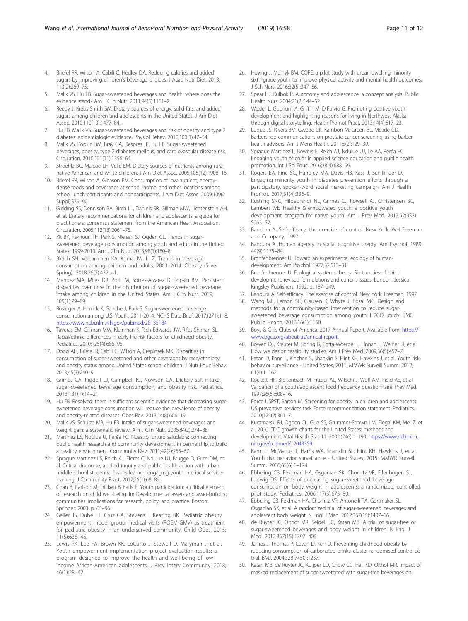- <span id="page-10-0"></span>4. Briefel RR, Wilson A, Cabili C, Hedley DA. Reducing calories and added sugars by improving children's beverage choices. J Acad Nutr Diet. 2013; 113(2):269–75.
- 5. Malik VS, Hu FB. Sugar-sweetened beverages and health: where does the evidence stand? Am J Clin Nutr. 2011;94(5):1161–2.
- 6. Reedy J, Krebs-Smith SM. Dietary sources of energy, solid fats, and added sugars among children and adolescents in the United States. J Am Diet Assoc. 2010;110(10):1477–84.
- 7. Hu FB, Malik VS. Sugar-sweetened beverages and risk of obesity and type 2 diabetes: epidemiologic evidence. Physiol Behav. 2010;100(1):47–54.
- 8. Malik VS, Popkin BM, Bray GA, Despres JP, Hu FB. Sugar-sweetened beverages, obesity, type 2 diabetes mellitus, and cardiovascular disease risk. Circulation. 2010;121(11):1356–64.
- 9. Stroehla BC, Malcoe LH, Velie EM. Dietary sources of nutrients among rural native American and white children. J Am Diet Assoc. 2005;105(12):1908–16.
- 10. Briefel RR, Wilson A, Gleason PM. Consumption of low-nutrient, energydense foods and beverages at school, home, and other locations among school lunch participants and nonparticipants. J Am Diet Assoc. 2009;109(2 Suppl):S79–90.
- 11. Gidding SS, Dennison BA, Birch LL, Daniels SR, Gillman MW, Lichtenstein AH, et al. Dietary recommendations for children and adolescents: a guide for practitioners: consensus statement from the American Heart Association. Circulation. 2005;112(13):2061–75.
- 12. Kit BK, Fakhouri TH, Park S, Nielsen SJ, Ogden CL. Trends in sugarsweetened beverage consumption among youth and adults in the United States: 1999-2010. Am J Clin Nutr. 2013;98(1):180–8.
- 13. Bleich SN, Vercammen KA, Koma JW, Li Z. Trends in beverage consumption among children and adults, 2003–2014. Obesity (Silver Spring). 2018;26(2):432–41.
- 14. Mendez MA, Miles DR, Poti JM, Sotres-Alvarez D, Popkin BM. Persistent disparities over time in the distribution of sugar-sweetened beverage intake among children in the United States. Am J Clin Nutr. 2019; 109(1):79–89.
- 15. Rosinger A, Herrick K, Gahche J, Park S. Sugar-sweetened beverage consumption among U.S. Youth, 2011-2014. NCHS Data Brief. 2017;(271):1–8. <https://www.ncbi.nlm.nih.gov/pubmed/28135184>
- 16. Taveras EM, Gillman MW, Kleinman K, Rich-Edwards JW, Rifas-Shiman SL. Racial/ethnic differences in early-life risk factors for childhood obesity. Pediatrics. 2010;125(4):686–95.
- 17. Dodd AH, Briefel R, Cabili C, Wilson A, Crepinsek MK. Disparities in consumption of sugar-sweetened and other beverages by race/ethnicity and obesity status among United States school children. J Nutr Educ Behav. 2013;45(3):240–9.
- 18. Grimes CA, Riddell LJ, Campbell KJ, Nowson CA. Dietary salt intake, sugar-sweetened beverage consumption, and obesity risk. Pediatrics. 2013;131(1):14–21.
- 19. Hu FB. Resolved: there is sufficient scientific evidence that decreasing sugarsweetened beverage consumption will reduce the prevalence of obesity and obesity-related diseases. Obes Rev. 2013;14(8):606–19.
- 20. Malik VS, Schulze MB, Hu FB. Intake of sugar-sweetened beverages and weight gain: a systematic review. Am J Clin Nutr. 2006;84(2):274–88.
- 21. Martinez LS, Ndulue U, Peréa FC. Nuestro furturo saludable: connecting public health research and community development in partnership to build a healthy environment. Community Dev. 2011;42(2):255–67.
- 22. Sprague Martinez LS, Reich AJ, Flores C, Ndulue UJ, Brugge D, Gute DM, et al. Critical discourse, applied inquiry and public health action with urban middle school students: lessons learned engaging youth in critical servicelearning. J Community Pract. 2017;25(1):68–89.
- 23. Chan B, Carlson M, Trickett B, Earls F. Youth participation: a critical element of research on child well-being. In: Developmental assets and asset-building communities: implications for research, policy, and practice. Boston: Springer; 2003. p. 65–96.
- 24. Geller JS, Dube ET, Cruz GA, Stevens J, Keating BK. Pediatric obesity empowerment model group medical visits (POEM-GMV) as treatment for pediatric obesity in an underserved community. Child Obes. 2015; 11(5):638–46.
- 25. Lewis RK, Lee FA, Brown KK, LoCurto J, Stowell D, Maryman J, et al. Youth empowerment implementation project evaluation results: a program designed to improve the health and well-being of lowincome African-American adolescents. J Prev Interv Community. 2018; 46(1):28–42.
- 26. Hoying J, Melnyk BM. COPE: a pilot study with urban-dwelling minority sixth-grade youth to improve physical activity and mental health outcomes. J Sch Nurs. 2016;32(5):347–56.
- 27. Spear HJ, Kulbok P. Autonomy and adolescence: a concept analysis. Public Health Nurs. 2004;21(2):144–52.
- 28. Wexler L, Gubrium A, Griffin M, DiFulvio G. Promoting positive youth development and highlighting reasons for living in Northwest Alaska through digital storytelling. Health Promot Pract. 2013;14(4):617–23.
- 29. Luque JS, Rivers BM, Gwede CK, Kambon M, Green BL, Meade CD. Barbershop communications on prostate cancer screening using barber health advisers. Am J Mens Health. 2011;5(2):129–39.
- 30. Sprague Martinez L, Bowers E, Reich AJ, Ndulue UJ, Le AA, Peréa FC. Engaging youth of color in applied science education and public health promotion. Int J Sci Educ. 2016;38(4):688–99.
- 31. Rogers EA, Fine SC, Handley MA, Davis HB, Kass J, Schillinger D. Engaging minority youth in diabetes prevention efforts through a participatory, spoken-word social marketing campaign. Am J Health Promot. 2017;31(4):336–9.
- 32. Rushing SNC, Hildebrandt NL, Grimes CJ, Rowsell AJ, Christensen BC, Lambert WE. Healthy & empowered youth: a positive youth development program for native youth. Am J Prev Med. 2017;52(3S3): S263–S7.
- 33. Bandura A. Self-efficacy: the exercise of control. New York: WH Freeman and Company; 1997.
- 34. Bandura A. Human agency in social cognitive theory. Am Psychol. 1989; 44(9):1175–84.
- 35. Bronfenbrenner U. Toward an experimental ecology of humandevelopment. Am Psychol. 1977;32:513–31.
- 36. Bronfenbrenner U. Ecological systems theory. Six theories of child development: revised formulations and current issues. London: Jessica Kingsley Publishers; 1992. p. 187–249.
- 37. Bandura A. Self-efficacy. The exercise of control. New York: Freeman; 1997.
- 38. Wang ML, Lemon SC, Clausen K, Whyte J, Rosal MC. Design and methods for a community-based intervention to reduce sugarsweetened beverage consumption among youth: H2GO! study. BMC Public Health. 2016;16(1):1150.
- 39. Boys & Girls Clubs of America. 2017 Annual Report. Available from: [https://](https://www.bgca.org/about-us/annual-report) [www.bgca.org/about-us/annual-report.](https://www.bgca.org/about-us/annual-report)
- 40. Bowen DJ, Kreuter M, Spring B, Cofta-Woerpel L, Linnan L, Weiner D, et al. How we design feasibility studies. Am J Prev Med. 2009;36(5):452–7.
- 41. Eaton D, Kann L, Kinchen S, Shanklin S, Flint KH, Hawkins J, et al. Youth risk behavior surveillance - United States, 2011. MMWR Surveill Summ. 2012; 61(4):1–162.
- 42. Rockett HR, Breitenbach M, Frazier AL, Witschi J, Wolf AM, Field AE, et al. Validation of a youth/adolescent food frequency questionnaire. Prev Med. 1997;26(6):808–16.
- 43. Force USPST, Barton M. Screening for obesity in children and adolescents: US preventive services task Force recommendation statement. Pediatrics. 2010;125(2):361–7.
- 44. Kuczmarski RJ, Ogden CL, Guo SS, Grummer-Strawn LM, Flegal KM, Mei Z, et al. 2000 CDC growth charts for the United States: methods and development. Vital Health Stat 11. 2002;(246):1–190. [https://www.ncbi.nlm.](https://www.ncbi.nlm.nih.gov/pubmed/12043359) [nih.gov/pubmed/12043359](https://www.ncbi.nlm.nih.gov/pubmed/12043359).
- 45. Kann L, McManus T, Harris WA, Shanklin SL, Flint KH, Hawkins J, et al. Youth risk behavior surveillance - United States, 2015. MMWR Surveill Summ. 2016;65(6):1–174.
- 46. Ebbeling CB, Feldman HA, Osganian SK, Chomitz VR, Ellenbogen SJ, Ludwig DS. Effects of decreasing sugar-sweetened beverage consumption on body weight in adolescents: a randomized, controlled pilot study. Pediatrics. 2006;117(3):673–80.
- 47. Ebbeling CB, Feldman HA, Chomitz VR, Antonelli TA, Gortmaker SL, Osganian SK, et al. A randomized trial of sugar-sweetened beverages and adolescent body weight. N Engl J Med. 2012;367(15):1407–16.
- 48. de Ruyter JC, Olthof MR, Seidell JC, Katan MB. A trial of sugar-free or sugar-sweetened beverages and body weight in children. N Engl J Med. 2012;367(15):1397–406.
- 49. James J, Thomas P, Cavan D, Kerr D. Preventing childhood obesity by reducing consumption of carbonated drinks: cluster randomised controlled trial. BMJ. 2004;328(7450):1237.
- 50. Katan MB, de Ruyter JC, Kuijper LD, Chow CC, Hall KD, Olthof MR. Impact of masked replacement of sugar-sweetened with sugar-free beverages on